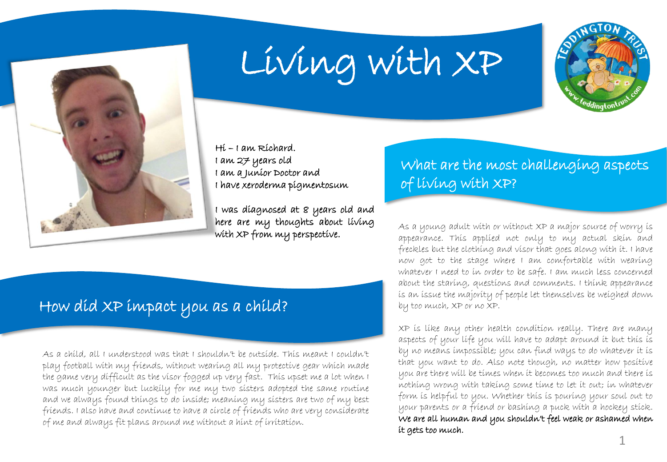

# Living with XP



Hi – I am Richard. I am 27 years old I am a Junior Doctor and I have xeroderma pigmentosum

I was diagnosed at 8 years old and here are my thoughts about living with XP from my perspective.

# How did XP impact you as a child?

As a child, all I understood was that I shouldn't be outside. This meant I couldn't play football with my friends, without wearing all my protective gear which made the game very difficult as the visor fogged up very fast. This upset me a lot when I was much younger but luckily for me my two sisters adopted the same routine and we always found things to do inside; meaning my sisters are two of my best friends. I also have and continue to have a circle of friends who are very considerate of me and always fit plans around me without a hint of irritation.

# What are the most challenging aspects of living with XP?

As a young adult with or without XP a major source of worry is appearance. This applied not only to my actual skin and freckles but the clothing and visor that goes along with it. I have now got to the stage where I am comfortable with wearing whatever I need to in order to be safe. I am much less concerned about the staring, questions and comments. I think appearance is an issue the majority of people let themselves be weighed down by too much, XP or no XP.

XP is like any other health condition really. There are many aspects of your life you will have to adapt around it but this is by no means impossible; you can find ways to do whatever it is that you want to do. Also note though, no matter how positive you are there will be times when it becomes too much and there is nothing wrong with taking some time to let it out; in whatever form is helpful to you. Whether this is pouring your soul out to your parents or a friend or bashing a puck with a hockey stick. We are all human and you shouldn't feel weak or ashamed when it gets too much.